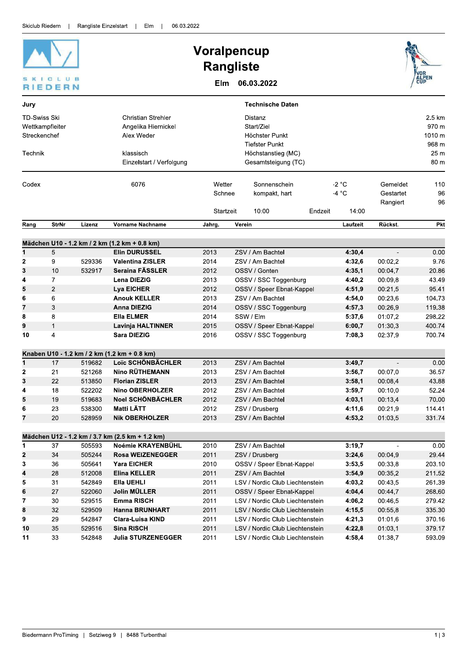| CLUB<br>EDERN                                                     |                |        |                                                                                                         | <b>Voralpencup</b><br><b>Rangliste</b><br>06.03.2022<br>Elm                                            |                       |                                        |         |                             |                                   |                                                               |
|-------------------------------------------------------------------|----------------|--------|---------------------------------------------------------------------------------------------------------|--------------------------------------------------------------------------------------------------------|-----------------------|----------------------------------------|---------|-----------------------------|-----------------------------------|---------------------------------------------------------------|
| Jury                                                              |                |        |                                                                                                         |                                                                                                        |                       | <b>Technische Daten</b>                |         |                             |                                   |                                                               |
| <b>TD-Swiss Ski</b><br>Wettkampfleiter<br>Streckenchef<br>Technik |                |        | <b>Christian Strehler</b><br>Angelika Hiernickel<br>Alex Weder<br>klassisch<br>Einzelstart / Verfolgung | Distanz<br>Start/Ziel<br>Höchster Punkt<br>Tiefster Punkt<br>Höchstanstieg (MC)<br>Gesamtsteigung (TC) |                       |                                        |         |                             |                                   | 2.5 km<br>970 m<br>1010 m<br>968 m<br>25 <sub>m</sub><br>80 m |
| Codex                                                             |                |        | 6076                                                                                                    | Wetter<br>Schnee<br>Startzeit                                                                          |                       | Sonnenschein<br>kompakt, hart<br>10:00 | Endzeit | $-2 °C$<br>$-4 °C$<br>14:00 | Gemeldet<br>Gestartet<br>Rangiert | 110<br>96<br>96                                               |
| Rang                                                              | <b>StrNr</b>   | Lizenz | <b>Vorname Nachname</b>                                                                                 | Jahrg.                                                                                                 | Verein                |                                        |         | Laufzeit                    | Rückst.                           | Pkt                                                           |
|                                                                   |                |        | Mädchen U10 - 1.2 km / 2 km (1.2 km + 0.8 km)                                                           |                                                                                                        |                       |                                        |         |                             |                                   |                                                               |
| 1                                                                 | 5              |        | <b>Elin DURUSSEL</b>                                                                                    | 2013                                                                                                   |                       | ZSV / Am Bachtel                       |         | 4:30,4                      | $\overline{\phantom{a}}$          | 0.00                                                          |
| 2                                                                 | 9              | 529336 | <b>Valentina ZISLER</b>                                                                                 | 2014                                                                                                   |                       | ZSV / Am Bachtel                       |         | 4:32.6                      | 00:02.2                           | 9.76                                                          |
| 3                                                                 | 10             | 532917 | Seraina FÄSSLER                                                                                         | 2012                                                                                                   |                       | OSSV / Gonten                          |         | 4:35,1                      | 00:04,7                           | 20.86                                                         |
| 4                                                                 | $\overline{7}$ |        | Lena DIEZIG                                                                                             | 2013                                                                                                   | OSSV / SSC Toggenburg |                                        | 4:40,2  | 00:09,8                     | 43.49                             |                                                               |
| 5                                                                 | $\mathbf{2}$   |        | <b>Lya EICHER</b>                                                                                       | 2012                                                                                                   |                       | OSSV / Speer Ebnat-Kappel              |         | 4:51,9                      | 00:21,5                           | 95.41                                                         |
| 6                                                                 | 6              |        | <b>Anouk KELLER</b>                                                                                     | 2013                                                                                                   |                       | ZSV / Am Bachtel                       |         | 4:54,0                      | 00:23,6                           | 104.73                                                        |
| 7                                                                 | 3              |        | <b>Anna DIEZIG</b>                                                                                      | 2014                                                                                                   |                       | OSSV / SSC Toggenburg                  |         | 4:57,3                      | 00:26,9                           | 119.38                                                        |
| 8                                                                 | 8              |        | Ella ELMER                                                                                              | 2014                                                                                                   |                       | SSW / Elm                              |         | 5:37,6                      | 01:07,2                           | 298.22                                                        |
| 9                                                                 | $\mathbf{1}$   |        | Lavinja HALTINNER                                                                                       | 2015                                                                                                   |                       | OSSV / Speer Ebnat-Kappel              |         | 6:00,7                      | 01:30,3                           | 400.74                                                        |
| 10                                                                | 4              |        | Sara DIEZIG                                                                                             | 2016                                                                                                   |                       | OSSV / SSC Toggenburg                  |         | 7:08,3                      | 02:37,9                           | 700.74                                                        |
|                                                                   |                |        | Knaben U10 - 1.2 km / 2 km (1.2 km + 0.8 km)                                                            |                                                                                                        |                       |                                        |         |                             |                                   |                                                               |
| 1                                                                 | 17             | 519682 | Loïc SCHÖNBÄCHLER                                                                                       | 2013                                                                                                   |                       | ZSV / Am Bachtel                       |         | 3:49,7                      |                                   | 0.00                                                          |
| 2                                                                 | 21             | 521268 | <b>Nino RÜTHEMANN</b>                                                                                   | 2013                                                                                                   |                       | ZSV / Am Bachtel                       |         | 3:56,7                      | 00:07,0                           | 36.57                                                         |
| 3                                                                 | 22             | 513850 | <b>Florian ZISLER</b>                                                                                   | 2013                                                                                                   |                       | ZSV / Am Bachtel                       |         | 3:58,1                      | 00:08,4                           | 43.88                                                         |
| 4                                                                 | 18             | 522202 | <b>Nino OBERHOLZER</b>                                                                                  | 2012                                                                                                   |                       | ZSV / Am Bachtel                       |         | 3:59,7                      | 00:10,0                           | 52.24                                                         |
| 5                                                                 | 19             | 519683 | Noel SCHÖNBÄCHLER                                                                                       | 2012                                                                                                   |                       | ZSV / Am Bachtel                       |         | 4:03,1                      | 00:13,4                           | 70.00                                                         |
| 6                                                                 | 23             | 538300 | Matti LÄTT                                                                                              | 2012                                                                                                   |                       | ZSV / Drusberg                         |         | 4:11,6                      | 00:21,9                           | 114.41                                                        |
| 7                                                                 | 20             | 528959 | <b>Nik OBERHOLZER</b>                                                                                   | 2013                                                                                                   |                       | ZSV / Am Bachtel                       |         | 4:53,2                      | 01:03,5                           | 331.74                                                        |
|                                                                   |                |        |                                                                                                         |                                                                                                        |                       |                                        |         |                             |                                   |                                                               |
| 1                                                                 | 37             | 505593 | Mädchen U12 - 1.2 km / 3.7 km (2.5 km + 1.2 km)<br>Noémie KRAYENBÜHL                                    | 2010                                                                                                   |                       | ZSV / Am Bachtel                       |         | 3:19,7                      |                                   | 0.00                                                          |
| 2                                                                 | 34             | 505244 | <b>Rosa WEIZENEGGER</b>                                                                                 | 2011                                                                                                   |                       | ZSV / Drusberg                         |         | 3:24,6                      | 00:04,9                           | 29.44                                                         |
| 3                                                                 | 36             | 505641 | <b>Yara EICHER</b>                                                                                      | 2010                                                                                                   |                       | OSSV / Speer Ebnat-Kappel              |         | 3:53,5                      | 00:33,8                           | 203.10                                                        |
| 4                                                                 | 28             | 512008 | <b>Elina KELLER</b>                                                                                     | 2011                                                                                                   |                       | ZSV / Am Bachtel                       |         | 3:54,9                      | 00:35,2                           | 211.52                                                        |
| 5                                                                 | 31             | 542849 | <b>Ella UEHLI</b>                                                                                       | 2011                                                                                                   |                       | LSV / Nordic Club Liechtenstein        |         | 4:03,2                      | 00:43,5                           | 261.39                                                        |
| 6                                                                 | 27             | 522060 | Jolin MÜLLER                                                                                            | 2011                                                                                                   |                       | OSSV / Speer Ebnat-Kappel              |         | 4:04,4                      | 00:44,7                           | 268.60                                                        |
| 7                                                                 | 30             | 529515 | Emma RISCH                                                                                              | 2011                                                                                                   |                       | LSV / Nordic Club Liechtenstein        |         | 4:06,2                      | 00:46,5                           | 279.42                                                        |
| 8                                                                 | 32             | 529509 | Hanna BRUNHART                                                                                          | 2011                                                                                                   |                       | LSV / Nordic Club Liechtenstein        |         | 4:15,5                      | 00:55,8                           | 335.30                                                        |
| 9                                                                 | 29             | 542847 | Clara-Luisa KIND                                                                                        | 2011                                                                                                   |                       | LSV / Nordic Club Liechtenstein        |         | 4.21,3                      | 01:01,6                           | 370.16                                                        |
| 10                                                                | $35\,$         | 529516 | <b>Sina RISCH</b>                                                                                       | 2011                                                                                                   |                       | LSV / Nordic Club Liechtenstein        |         | 4:22,8                      | 01:03,1                           | 379.17                                                        |
| 11                                                                | 33             | 542848 | <b>Julia STURZENEGGER</b>                                                                               | 2011                                                                                                   |                       | LSV / Nordic Club Liechtenstein        |         | 4:58,4                      | 01:38,7                           | 593.09                                                        |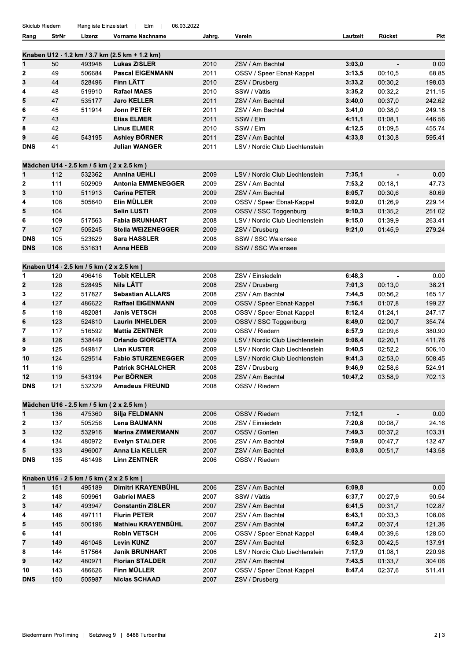| Skiclub Riedern |              | Rangliste Einzelstart | Elm<br>06.03.2022                                                |        |                                 |          |                |        |
|-----------------|--------------|-----------------------|------------------------------------------------------------------|--------|---------------------------------|----------|----------------|--------|
| Rang            | <b>StrNr</b> | Lizenz                | <b>Vorname Nachname</b>                                          | Jahrg. | Verein                          | Laufzeit | Rückst.        | Pkt    |
|                 |              |                       | Knaben U12 - 1.2 km / 3.7 km (2.5 km + 1.2 km)                   |        |                                 |          |                |        |
| 1               | 50           | 493948                | <b>Lukas ZISLER</b>                                              | 2010   | ZSV / Am Bachtel                | 3:03,0   |                | 0.00   |
| 2               | 49           | 506684                | <b>Pascal EIGENMANN</b>                                          | 2011   | OSSV / Speer Ebnat-Kappel       | 3:13,5   | 00:10,5        | 68.85  |
| 3               | 44           | 528496                | Finn LÄTT                                                        | 2010   | ZSV / Drusberg                  | 3:33,2   | 00:30,2        | 198.03 |
| 4               | 48           | 519910                | <b>Rafael MAES</b>                                               | 2010   | SSW / Vättis                    | 3:35,2   | 00:32,2        | 211.15 |
| 5               | 47           | 535177                | <b>Jaro KELLER</b>                                               | 2011   | ZSV / Am Bachtel                | 3:40,0   | 00:37,0        | 242.62 |
| 6               | 45           | 511914                | <b>Jonn PETER</b>                                                | 2011   | ZSV / Am Bachtel                | 3:41,0   | 00:38,0        | 249.18 |
| 7               | 43           |                       | <b>Elias ELMER</b>                                               | 2011   | SSW / Elm                       | 4:11,1   | 01:08,1        | 446.56 |
| 8               | 42           |                       | <b>Linus ELMER</b>                                               | 2010   | SSW / Elm                       | 4.12,5   | 01:09,5        | 455.74 |
| 9               | 46           | 543195                | <b>Ashley BÖRNER</b>                                             | 2011   | ZSV / Am Bachtel                | 4:33,8   | 01:30,8        | 595.41 |
| <b>DNS</b>      | 41           |                       | <b>Julian WANGER</b>                                             | 2011   | LSV / Nordic Club Liechtenstein |          |                |        |
|                 |              |                       |                                                                  |        |                                 |          |                |        |
| 1               | 112          | 532362                | Mädchen U14 - 2.5 km / 5 km ( 2 x 2.5 km)<br><b>Annina UEHLI</b> | 2009   | LSV / Nordic Club Liechtenstein | 7:35,1   |                | 0.00   |
|                 | 111          | 502909                | <b>Antonia EMMENEGGER</b>                                        | 2009   | ZSV / Am Bachtel                | 7:53,2   | 00:18.1        | 47.73  |
| 2               |              |                       |                                                                  |        |                                 |          |                |        |
| 3               | 110          | 511913                | <b>Carina PETER</b>                                              | 2009   | ZSV / Am Bachtel                | 8:05,7   | 00:30,6        | 80.69  |
| 4               | 108          | 505640                | Elin MÜLLER                                                      | 2009   | OSSV / Speer Ebnat-Kappel       | 9:02,0   | 01:26,9        | 229.14 |
| 5               | 104          |                       | <b>Selin LUSTI</b>                                               | 2009   | OSSV / SSC Toggenburg           | 9:10,3   | 01:35,2        | 251.02 |
| 6               | 109          | 517563                | <b>Fabia BRUNHART</b>                                            | 2008   | LSV / Nordic Club Liechtenstein | 9:15,0   | 01:39,9        | 263.41 |
| 7               | 107          | 505245                | <b>Stella WEIZENEGGER</b>                                        | 2009   | ZSV / Drusberg                  | 9:21,0   | 01:45,9        | 279.24 |
| <b>DNS</b>      | 105          | 523629                | <b>Sara HASSLER</b>                                              | 2008   | SSW / SSC Walensee              |          |                |        |
| <b>DNS</b>      | 106          | 531631                | <b>Anna HEEB</b>                                                 | 2009   | SSW / SSC Walensee              |          |                |        |
|                 |              |                       | Knaben U14 - 2.5 km / 5 km (2 x 2.5 km)                          |        |                                 |          |                |        |
| 1               | 120          | 496416                | <b>Tobit KELLER</b>                                              | 2008   | ZSV / Einsiedeln                | 6:48,3   | $\blacksquare$ | 0.00   |
| 2               | 128          | 528495                | <b>Nils LÄTT</b>                                                 | 2008   | ZSV / Drusberg                  | 7.01,3   | 00:13,0        | 38.21  |
| 3               | 122          | 517827                | <b>Sebastian ALLARS</b>                                          | 2008   | ZSV / Am Bachtel                | 7:44,5   | 00:56,2        | 165.17 |
| 4               | 127          | 486622                | <b>Raffael EIGENMANN</b>                                         | 2009   | OSSV / Speer Ebnat-Kappel       | 7:56,1   | 01:07,8        | 199.27 |
| 5               | 118          | 482081                | <b>Janis VETSCH</b>                                              | 2008   | OSSV / Speer Ebnat-Kappel       | 8:12,4   | 01:24,1        | 247.17 |
| 6               | 123          | 524810                | <b>Laurin INHELDER</b>                                           | 2009   | OSSV / SSC Toggenburg           | 8:49,0   | 02:00,7        | 354.74 |
| 7               | 117          | 516592                | <b>Mattia ZENTNER</b>                                            | 2009   | OSSV / Riedern                  | 8:57,9   | 02:09,6        | 380.90 |
| 8               | 126          | 538449                | <b>Orlando GIORGETTA</b>                                         | 2009   | LSV / Nordic Club Liechtenstein | 9:08,4   | 02:20,1        | 411.76 |
| 9               | 125          | 549817                | <b>Lian KUSTER</b>                                               | 2009   | LSV / Nordic Club Liechtenstein | 9:40,5   | 02:52,2        | 506.10 |
| 10              | 124          | 529514                | <b>Fabio STURZENEGGER</b>                                        | 2009   | LSV / Nordic Club Liechtenstein | 9:41,3   | 02:53,0        | 508.45 |
| 11              |              |                       | <b>Patrick SCHALCHER</b>                                         | 2008   |                                 | 9:46,9   | 02:58.6        | 524.91 |
|                 | 116          |                       |                                                                  |        | ZSV / Drusberg                  |          |                |        |
| 12              | 119          | 543194                | Per BÖRNER                                                       | 2008   | ZSV / Am Bachtel                | 10:47,2  | 03:58,9        | 702.13 |
| <b>DNS</b>      | 121          | 532329                | <b>Amadeus FREUND</b>                                            | 2008   | OSSV / Riedern                  |          |                |        |
|                 |              |                       | Mädchen U16 - 2.5 km / 5 km (2 x 2.5 km)                         |        |                                 |          |                |        |
| 1               | 136          | 475360                | Silja FELDMANN                                                   | 2006   | OSSV / Riedern                  | 7:12,1   |                | 0.00   |
| 2               | 137          | 505256                | <b>Lena BAUMANN</b>                                              | 2006   | ZSV / Einsiedeln                | 7:20,8   | 00:08,7        | 24.16  |
| 3               | 132          | 532916                | <b>Marina ZIMMERMANN</b>                                         | 2007   | OSSV / Gonten                   | 7:49,3   | 00:37,2        | 103.31 |
| 4               | 134          | 480972                | <b>Evelyn STALDER</b>                                            | 2006   | ZSV / Am Bachtel                | 7:59,8   | 00:47,7        | 132.47 |
| 5               | 133          | 496007                | <b>Anna Lia KELLER</b>                                           | 2007   | ZSV / Am Bachtel                | 8:03,8   | 00:51,7        | 143.58 |
| <b>DNS</b>      | 135          | 481498                | <b>Linn ZENTNER</b>                                              | 2006   | OSSV / Riedern                  |          |                |        |
|                 |              |                       | Knaben U16 - 2.5 km / 5 km (2 x 2.5 km)                          |        |                                 |          |                |        |
| 1               | 151          | 495189                | Dimitri KRAYENBÜHL                                               | 2006   | ZSV / Am Bachtel                | 6:09,8   |                | 0.00   |
| 2               | 148          | 509961                | <b>Gabriel MAES</b>                                              | 2007   | SSW / Vättis                    | 6:37,7   | 00:27,9        | 90.54  |
| 3               | 147          | 493947                | <b>Constantin ZISLER</b>                                         | 2007   | ZSV / Am Bachtel                | 6:41,5   | 00:31,7        | 102.87 |
| 4               | 146          | 497111                | <b>Flurin PETER</b>                                              | 2007   | ZSV / Am Bachtel                | 6.43,1   | 00:33,3        | 108.06 |
| 5               | 145          | 500196                | Mathieu KRAYENBÜHL                                               | 2007   | ZSV / Am Bachtel                | 6:47,2   | 00:37,4        | 121.36 |
| 6               | 141          |                       | <b>Robin VETSCH</b>                                              | 2006   | OSSV / Speer Ebnat-Kappel       | 6:49,4   | 00:39,6        | 128.50 |
| 7               | 149          | 461048                | <b>Levin KUNZ</b>                                                | 2007   | ZSV / Am Bachtel                | 6:52,3   | 00:42,5        | 137.91 |
| 8               | 144          | 517564                | <b>Janik BRUNHART</b>                                            | 2006   | LSV / Nordic Club Liechtenstein | 7:17,9   | 01:08,1        | 220.98 |
| 9               | 142          | 480971                | <b>Florian STALDER</b>                                           | 2007   | ZSV / Am Bachtel                | 7:43,5   | 01:33,7        | 304.06 |
| 10              | 143          | 486626                | Finn MÜLLER                                                      | 2007   | OSSV / Speer Ebnat-Kappel       | 8:47,4   | 02:37,6        | 511.41 |
|                 |              |                       |                                                                  |        |                                 |          |                |        |

2007 ZSV / Drusberg

505987

**Niclas SCHAAD** 

**DNS** 

150